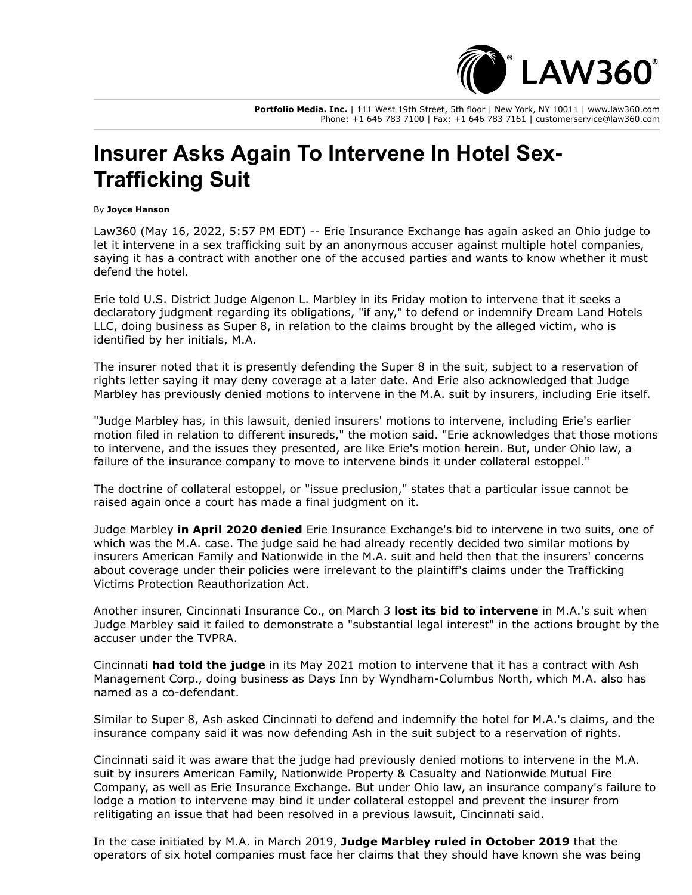

**Portfolio Media. Inc.** | 111 West 19th Street, 5th floor | New York, NY 10011 | www.law360.com Phone: +1 646 783 7100 | Fax: +1 646 783 7161 | customerservice@law360.com

## **Insurer Asks Again To Intervene In Hotel Sex-Trafficking Suit**

## By **Joyce Hanson**

Law360 (May 16, 2022, 5:57 PM EDT) -- [Erie Insurance Exchange](https://www.law360.com/companies/erie-insurance-inc) has again asked an Ohio judge to let it intervene in a sex trafficking suit by an anonymous accuser against multiple hotel companies, saying it has a contract with another one of the accused parties and wants to know whether it must defend the hotel.

Erie told U.S. District Judge Algenon L. Marbley in its Friday motion to intervene that it seeks a declaratory judgment regarding its obligations, "if any," to defend or indemnify Dream Land Hotels LLC, doing business as Super 8, in relation to the claims brought by the alleged victim, who is identified by her initials, M.A.

The insurer noted that it is presently defending the Super 8 in the suit, subject to a reservation of rights letter saying it may deny coverage at a later date. And Erie also acknowledged that Judge Marbley has previously denied motions to intervene in the M.A. suit by insurers, including Erie itself.

"Judge Marbley has, in this lawsuit, denied insurers' motions to intervene, including Erie's earlier motion filed in relation to different insureds," the motion said. "Erie acknowledges that those motions to intervene, and the issues they presented, are like Erie's motion herein. But, under Ohio law, a failure of the insurance company to move to intervene binds it under collateral estoppel."

The doctrine of collateral estoppel, or "issue preclusion," states that a particular issue cannot be raised again once a court has made a final judgment on it.

Judge Marbley **[in April 2020 denied](https://www.law360.com/articles/1263100/insurer-can-t-intervene-in-ohio-hotel-sex-trafficking-suits)** Erie Insurance Exchange's bid to intervene in two suits, one of which was the M.A. case. The judge said he had already recently decided two similar motions by insurers American Family and Nationwide in the M.A. suit and held then that the insurers' concerns about coverage under their policies were irrelevant to the plaintiff's claims under the Trafficking Victims Protection Reauthorization Act.

Another insurer, [Cincinnati Insurance Co](https://www.law360.com/companies/cincinnati-financial-corp)., on March 3 **[lost its bid to intervene](https://www.law360.com/articles/1470443/cincinnati-insurance-can-t-intervene-in-hotel-trafficking-suit)** in M.A.'s suit when Judge Marbley said it failed to demonstrate a "substantial legal interest" in the actions brought by the accuser under the TVPRA.

Cincinnati **[had told the judge](https://www.law360.com/articles/1386431/another-insurer-wants-in-on-ohio-hotel-sex-trafficking-suit)** in its May 2021 motion to intervene that it has a contract with Ash Management Corp., doing business as Days Inn by Wyndham-Columbus North, which M.A. also has named as a co-defendant.

Similar to Super 8, Ash asked Cincinnati to defend and indemnify the hotel for M.A.'s claims, and the insurance company said it was now defending Ash in the suit subject to a reservation of rights.

Cincinnati said it was aware that the judge had previously denied motions to intervene in the M.A. suit by insurers American Family, Nationwide Property & Casualty and Nationwide Mutual Fire Company, as well as Erie Insurance Exchange. But under Ohio law, an insurance company's failure to lodge a motion to intervene may bind it under collateral estoppel and prevent the insurer from relitigating an issue that had been resolved in a previous lawsuit, Cincinnati said.

In the case initiated by M.A. in March 2019, **[Judge Marbley ruled in October 2019](https://www.law360.com/articles/1207123/hotels-must-face-suit-over-sex-trafficking-knowledge)** that the operators of six hotel companies must face her claims that they should have known she was being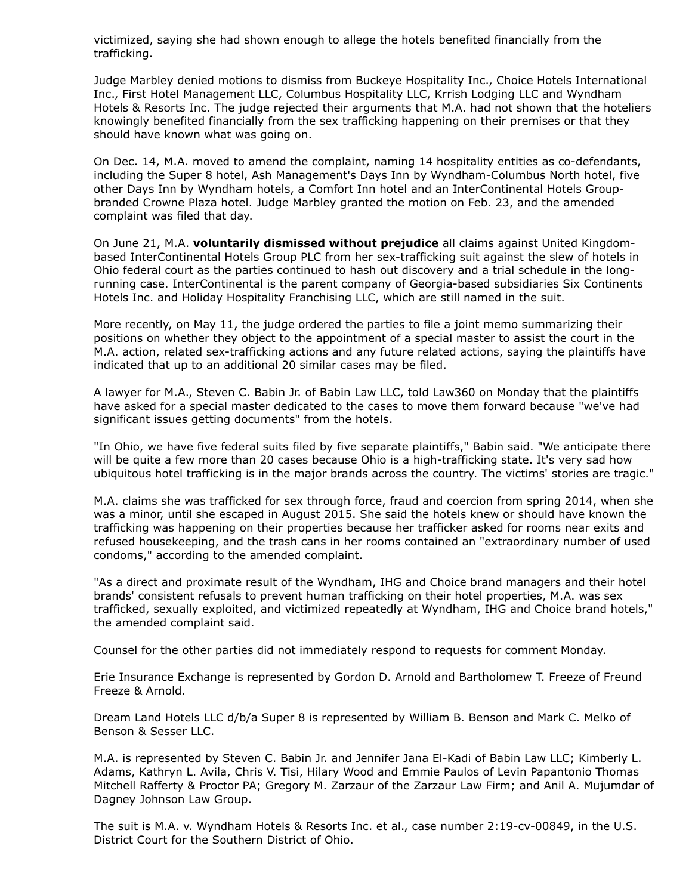victimized, saying she had shown enough to allege the hotels benefited financially from the trafficking.

[Judge Marbley denied motions to dismiss from Buckeye Hospitality Inc., Choice Hotels International](https://www.law360.com/companies/choice-hotels-international-inc) [Inc., First Hotel Management LLC, Columbus Hospitality LLC, Krrish Lodging LLC and Wyndham](https://www.law360.com/companies/wyndham-hotels-resorts-inc) Hotels & Resorts Inc. The judge rejected their arguments that M.A. had not shown that the hoteliers knowingly benefited financially from the sex trafficking happening on their premises or that they should have known what was going on.

On Dec. 14, M.A. moved to amend the complaint, naming 14 hospitality entities as co-defendants, including the Super 8 hotel, Ash Management's Days Inn by Wyndham-Columbus North hotel, five other Days Inn by Wyndham hotels, a Comfort Inn hotel and an [InterContinental Hotels Group](https://www.law360.com/companies/intercontinental-hotels-group-plc)branded Crowne Plaza hotel. Judge Marbley granted the motion on Feb. 23, and the amended complaint was filed that day.

On June 21, M.A. **[voluntarily dismissed without prejudice](https://www.law360.com/articles/1396677/intercontinental-hotels-drops-out-of-sex-trafficking-suit)** all claims against United Kingdombased InterContinental Hotels Group PLC from her sex-trafficking suit against the slew of hotels in Ohio federal court as the parties continued to hash out discovery and a trial schedule in the longrunning case. InterContinental is the parent company of Georgia-based subsidiaries Six Continents Hotels Inc. and Holiday Hospitality Franchising LLC, which are still named in the suit.

More recently, on May 11, the judge ordered the parties to file a joint memo summarizing their positions on whether they object to the appointment of a special master to assist the court in the M.A. action, related sex-trafficking actions and any future related actions, saying the plaintiffs have indicated that up to an additional 20 similar cases may be filed.

A lawyer for M.A., Steven C. Babin Jr. of [Babin Law LLC](https://www.law360.com/firms/babin-law-llc), told Law360 on Monday that the plaintiffs have asked for a special master dedicated to the cases to move them forward because "we've had significant issues getting documents" from the hotels.

"In Ohio, we have five federal suits filed by five separate plaintiffs," Babin said. "We anticipate there will be quite a few more than 20 cases because Ohio is a high-trafficking state. It's very sad how ubiquitous hotel trafficking is in the major brands across the country. The victims' stories are tragic."

M.A. claims she was trafficked for sex through force, fraud and coercion from spring 2014, when she was a minor, until she escaped in August 2015. She said the hotels knew or should have known the trafficking was happening on their properties because her trafficker asked for rooms near exits and refused housekeeping, and the trash cans in her rooms contained an "extraordinary number of used condoms," according to the amended complaint.

"As a direct and proximate result of the Wyndham, IHG and Choice brand managers and their hotel brands' consistent refusals to prevent human trafficking on their hotel properties, M.A. was sex trafficked, sexually exploited, and victimized repeatedly at Wyndham, IHG and Choice brand hotels," the amended complaint said.

Counsel for the other parties did not immediately respond to requests for comment Monday.

[Erie Insurance Exchange is represented by Gordon D. Arnold and Bartholomew T. Freeze of Freund](https://www.law360.com/firms/freund-freeze) Freeze & Arnold.

Dream Land Hotels LLC d/b/a Super 8 is represented by William B. Benson and Mark C. Melko of [Benson & Sesser LLC](https://www.law360.com/firms/benson-sesser).

M.A. is represented by Steven C. Babin Jr. and Jennifer Jana El-Kadi of Babin Law LLC; Kimberly L. [Adams, Kathryn L. Avila, Chris V. Tisi, Hilary Wood and Emmie Paulos of Levin Papantonio Thomas](https://www.law360.com/firms/levin-papantonio) Mitchell Rafferty & Proctor PA; Gregory M. Zarzaur of the [Zarzaur Law Firm;](https://www.law360.com/firms/zarzaur-law-firm) and Anil A. Mujumdar of [Dagney Johnson Law Group.](https://www.law360.com/firms/dagney-johnson-law-group)

[The suit is M.A. v. Wyndham Hotels & Resorts Inc. et al., case number](https://www.law360.com/agencies/united-states-district-court-for-the-southern-district-of-ohio) [2:19-cv-0084](https://www.law360.com/dockets/627e7b45ab4d7001810fed3a)[9, in the U.S.](https://www.law360.com/agencies/united-states-district-court-for-the-southern-district-of-ohio) District Court for the Southern District of Ohio.